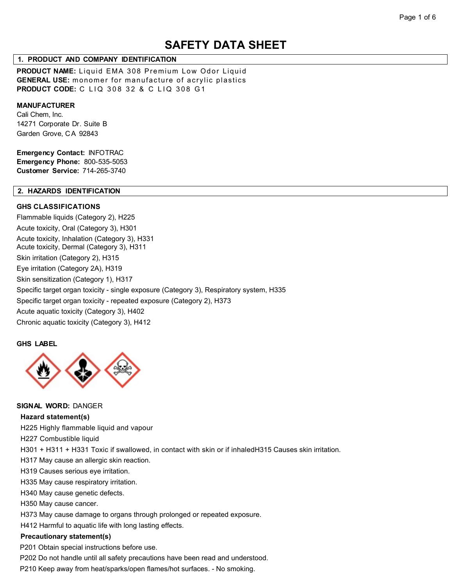# **SAFETY DATA SHEET**

### **1. PRODUCT AND COMPANY IDENTIFICATION**

**PRODUCT NAME:** Liquid EMA 308 Premium Low Odor Liquid **GENERAL USE:** monomer for manufacture of acrylic plastics **PRODUCT CODE:** C LIQ 308 32 & C LIQ 308 G1

#### **MANUFACTURER**

Cali Chem, Inc. 14271 Corporate Dr. Suite B Garden Grove, C A 92843

**Emergency Contact:** INFOTRAC **Emergency Phone:** 800-535-5053 **Customer Service:** 714-265-3740

# **2. HAZARDS IDENTIFICATION**

### **GHS CLASSIFICATIONS**

Flammable liquids (Category 2), H225 Acute toxicity, Oral (Category 3), H301 Acute toxicity, Inhalation (Category 3), H331 Acute toxicity, Dermal (Category 3), H311 Skin irritation (Category 2), H315 Eye irritation (Category 2A), H319 Skin sensitization (Category 1), H317 Specific target organ toxicity - single exposure (Category 3), Respiratory system, H335 Specific target organ toxicity - repeated exposure (Category 2), H373 Acute aquatic toxicity (Category 3), H402 Chronic aquatic toxicity (Category 3), H412

#### **GHS LABEL**



#### **SIGNAL WORD:** DANGER

#### **Hazard statement(s)**

H225 Highly flammable liquid and vapour

H227 Combustible liquid

H301 + H311 + H331 Toxic if swallowed, in contact with skin or if inhaledH315 Causes skin irritation.

H317 May cause an allergic skin reaction.

H319 Causes serious eye irritation.

H335 May cause respiratory irritation.

H340 May cause genetic defects.

H350 May cause cancer.

H373 May cause damage to organs through prolonged or repeated exposure.

H412 Harmful to aquatic life with long lasting effects.

#### **Precautionary statement(s)**

P201 Obtain special instructions before use.

P202 Do not handle until all safety precautions have been read and understood.

P210 Keep away from heat/sparks/open flames/hot surfaces. - No smoking.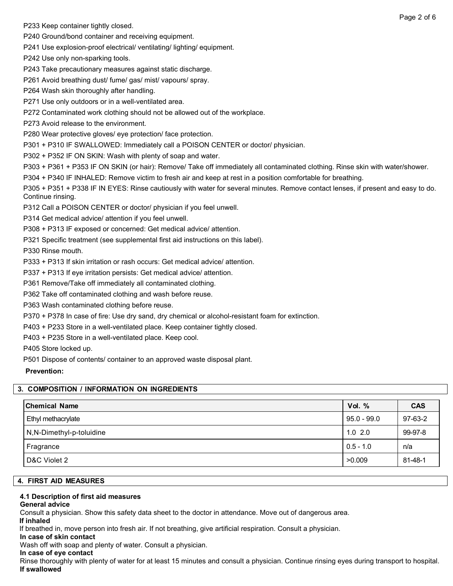P233 Keep container tightly closed.

P240 Ground/bond container and receiving equipment.

P241 Use explosion-proof electrical/ ventilating/ lighting/ equipment.

P242 Use only non-sparking tools.

P243 Take precautionary measures against static discharge.

P261 Avoid breathing dust/ fume/ gas/ mist/ vapours/ spray.

P264 Wash skin thoroughly after handling.

P271 Use only outdoors or in a well-ventilated area.

P272 Contaminated work clothing should not be allowed out of the workplace.

P273 Avoid release to the environment.

P280 Wear protective gloves/ eye protection/ face protection.

P301 + P310 IF SWALLOWED: Immediately call a POISON CENTER or doctor/ physician.

P302 + P352 IF ON SKIN: Wash with plenty of soap and water.

P303 + P361 + P353 IF ON SKIN (or hair): Remove/ Take off immediately all contaminated clothing. Rinse skin with water/shower.

P304 + P340 IF INHALED: Remove victim to fresh air and keep at rest in a position comfortable for breathing.

P305 + P351 + P338 IF IN EYES: Rinse cautiously with water for several minutes. Remove contact lenses, if present and easy to do. Continue rinsing.

P312 Call a POISON CENTER or doctor/ physician if you feel unwell.

P314 Get medical advice/ attention if you feel unwell.

P308 + P313 IF exposed or concerned: Get medical advice/ attention.

P321 Specific treatment (see supplemental first aid instructions on this label).

P330 Rinse mouth.

P333 + P313 If skin irritation or rash occurs: Get medical advice/ attention.

P337 + P313 If eye irritation persists: Get medical advice/ attention.

P361 Remove/Take off immediately all contaminated clothing.

P362 Take off contaminated clothing and wash before reuse.

P363 Wash contaminated clothing before reuse.

P370 + P378 In case of fire: Use dry sand, dry chemical or alcohol-resistant foam for extinction.

P403 + P233 Store in a well-ventilated place. Keep container tightly closed.

P403 + P235 Store in a well-ventilated place. Keep cool.

P405 Store locked up.

P501 Dispose of contents/ container to an approved waste disposal plant.

**Prevention:**

### **3. COMPOSITION / INFORMATION ON INGREDIENTS**

| <b>Chemical Name</b>     | Vol. $%$      | <b>CAS</b> |
|--------------------------|---------------|------------|
| Ethyl methacrylate       | $95.0 - 99.0$ | 97-63-2    |
| N,N-Dimethyl-p-toluidine | $1.0$ 2.0     | 99-97-8    |
| Fragrance                | $0.5 - 1.0$   | n/a        |
| D&C Violet 2             | >0.009        | 81-48-1    |

### **4. FIRST AID MEASURES**

### **4.1 Description of first aid measures**

### **General advice**

Consult a physician. Show this safety data sheet to the doctor in attendance. Move out of dangerous area.

### **If inhaled**

If breathed in, move person into fresh air. If not breathing, give artificial respiration. Consult a physician.

**In case of skin contact**

Wash off with soap and plenty of water. Consult a physician.

### **In case of eye contact**

Rinse thoroughly with plenty of water for at least 15 minutes and consult a physician. Continue rinsing eyes during transport to hospital. **If swallowed**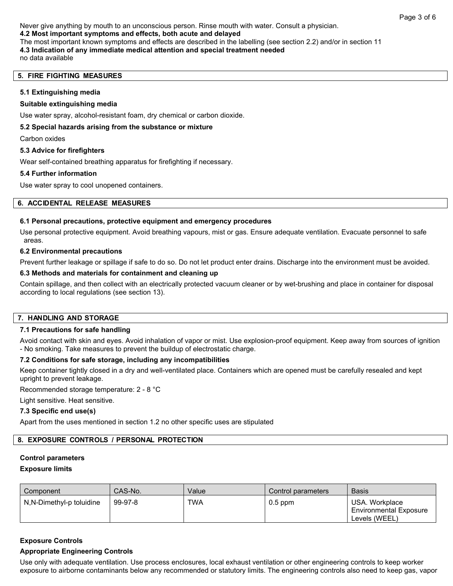Never give anything by mouth to an unconscious person. Rinse mouth with water. Consult a physician. **4.2 Most important symptoms and effects, both acute and delayed** The most important known symptoms and effects are described in the labelling (see section 2.2) and/or in section 11 **4.3 Indication of any immediate medical attention and special treatment needed** no data available

### **5. FIRE FIGHTING MEASURES**

#### **5.1 Extinguishing media**

#### **Suitable extinguishing media**

Use water spray, alcohol-resistant foam, dry chemical or carbon dioxide.

#### **5.2 Special hazards arising from the substance or mixture**

Carbon oxides

#### **5.3 Advice for firefighters**

Wear self-contained breathing apparatus for firefighting if necessary.

#### **5.4 Further information**

Use water spray to cool unopened containers.

#### **6. ACCIDENTAL RELEASE MEASURES**

#### **6.1 Personal precautions, protective equipment and emergency procedures**

Use personal protective equipment. Avoid breathing vapours, mist or gas. Ensure adequate ventilation. Evacuate personnel to safe areas.

#### **6.2 Environmental precautions**

Prevent further leakage or spillage if safe to do so. Do not let product enter drains. Discharge into the environment must be avoided.

#### **6.3 Methods and materials for containment and cleaning up**

Contain spillage, and then collect with an electrically protected vacuum cleaner or by wet-brushing and place in container for disposal according to local regulations (see section 13).

### **7. HANDLING AND STORAGE**

### **7.1 Precautions for safe handling**

Avoid contact with skin and eyes. Avoid inhalation of vapor or mist. Use explosion-proof equipment. Keep away from sources of ignition - No smoking. Take measures to prevent the buildup of electrostatic charge.

# **7.2 Conditions for safe storage, including any incompatibilities**

Keep container tightly closed in a dry and well-ventilated place. Containers which are opened must be carefully resealed and kept upright to prevent leakage.

Recommended storage temperature: 2 - 8 °C

Light sensitive. Heat sensitive.

### **7.3 Specific end use(s)**

Apart from the uses mentioned in section 1.2 no other specific uses are stipulated

## **8. EXPOSURE CONTROLS / PERSONAL PROTECTION**

#### **Control parameters**

#### **Exposure limits**

| Component                | CAS-No. | Value | Control parameters | <b>Basis</b>                                                     |
|--------------------------|---------|-------|--------------------|------------------------------------------------------------------|
| N,N-Dimethyl-p toluidine | 99-97-8 | TWA   | $0.5$ ppm          | USA, Workplace<br><b>Environmental Exposure</b><br>Levels (WEEL) |

### **Exposure Controls**

### **Appropriate Engineering Controls**

Use only with adequate ventilation. Use process enclosures, local exhaust ventilation or other engineering controls to keep worker exposure to airborne contaminants below any recommended or statutory limits. The engineering controls also need to keep gas, vapor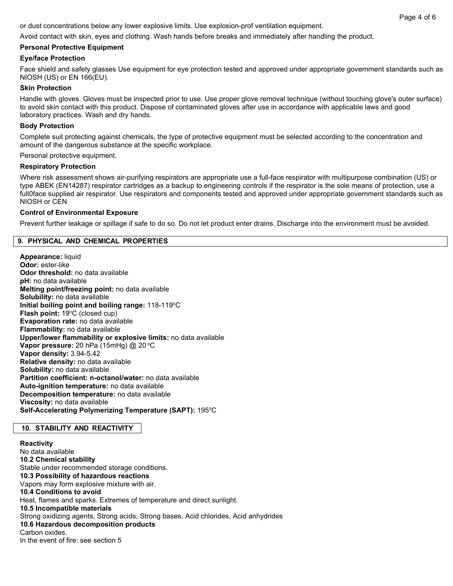or dust concentrations below any lower explosive limits. Use explosion-prof ventilation equipment.

Avoid contact with skin, eyes and clothing. Wash hands before breaks and immediately after handling the product.

# **Personal Protective Equipment**

### **Eye/face Protection**

Face shield and safety glasses Use equipment for eye protection tested and approved under appropriate government standards such as NIOSH (US) or EN 166(EU).

### **Skin Protection**

Handle with gloves. Gloves must be inspected prior to use. Use proper glove removal technique (without touching glove's outer surface) to avoid skin contact with this product. Dispose of contaminated gloves after use in accordance with applicable laws and good laboratory practices. Wash and dry hands.

### **Body Protection**

Complete suit protecting against chemicals, the type of protective equipment must be selected according to the concentration and amount of the dangerous substance at the specific workplace.

Personal protective equipment.

### **Respiratory Protection**

Where risk assessment shows air-purifying respirators are appropriate use a full-face respirator with multipurpose combination (US) or type ABEK (EN14287) respirator cartridges as a backup to engineering controls if the respirator is the sole means of protection, use a full0face supplied air respirator. Use respirators and components tested and approved under appropriate government standards such as NIOSH or CEN

### **Control of Environmental Exposure**

Prevent further leakage or spillage if safe to do so. Do not let product enter drains. Discharge into the environment must be avoided.

### **9. PHYSICAL AND CHEMICAL PROPERTIES**

**Appearance:** liquid **Odor:** ester-like **Odor threshold:** no data available **pH:** no data available **Melting point/freezing point:** no data available **Solubility:** no data available Initial boiling point and boiling range: 118-119°C Flash point: 19°C (closed cup) **Evaporation rate:** no data available **Flammability:** no data available **Upper/lower flammability or explosive limits:** no data available **Vapor pressure:** 20 hPa (15mHg) @ 20 °C **Vapor density:** 3.94-5.42 **Relative density:** no data available **Solubility:** no data available **Partition coefficient: n-octanol/water:** no data available **Auto-ignition temperature:** no data available **Decomposition temperature:** no data available **Viscosity:** no data available Self-Accelerating Polymerizing Temperature (SAPT): 195°C

### **10. STABILITY AND REACTIVITY**

**Reactivity** No data available **10.2 Chemical stability** Stable under recommended storage conditions. **10.3 Possibility of hazardous reactions** Vapors may form explosive mixture with air. **10.4 Conditions to avoid** Heat, flames and sparks. Extremes of temperature and direct sunlight. **10.5 Incompatible materials** Strong oxidizing agents, Strong acids, Strong bases, Acid chlorides, Acid anhydrides **10.6 Hazardous decomposition products** Carbon oxides. In the event of fire: see section 5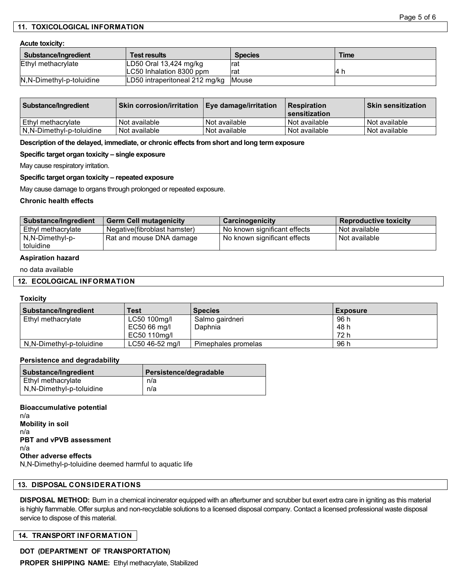### **11. TOXICOLOGICAL INFORMATION**

#### **Acute toxicity:**

| Substance/Ingredient     | <b>Test results</b>            | <b>Species</b> | <b>Time</b> |
|--------------------------|--------------------------------|----------------|-------------|
| Ethyl methacrylate       | LD50 Oral $13,424$ mg/kg       | <b>rat</b>     |             |
|                          | ILC50 Inhalation 8300 ppm      | <b>rat</b>     | - 14 i      |
| N,N-Dimethyl-p-toluidine | LD50 intraperitoneal 212 mg/kg | Mouse          |             |

| Substance/Ingredient     | <b>Skin corrosion/irritation   Eye damage/irritation</b> |                 | l Respiration<br>l sensitization | ∣Skin sensitization ∣ |
|--------------------------|----------------------------------------------------------|-----------------|----------------------------------|-----------------------|
| l Ethvl methacrvlate     | Not available                                            | Not available   | l Not available                  | l Not available       |
| N.N-Dimethyl-p-toluidine | Not available                                            | I Not available | l Not available                  | Not available         |

#### **Description of the delayed, immediate, or chronic effects from short and long term exposure**

#### **Specific target organ toxicity – single exposure**

May cause respiratory irritation.

#### **Specific target organ toxicity – repeated exposure**

May cause damage to organs through prolonged or repeated exposure.

#### **Chronic health effects**

| <b>Substance/Ingredient</b> | <b>Germ Cell mutagenicity</b> | Carcinogenicity              | <b>Reproductive toxicity</b> |
|-----------------------------|-------------------------------|------------------------------|------------------------------|
| Ethyl methacrylate          | Negative (fibroblast hamster) | No known significant effects | l Not available              |
| N.N-Dimethyl-p-             | Rat and mouse DNA damage      | No known significant effects | l Not available              |
| toluidine                   |                               |                              |                              |

#### **Aspiration hazard**

no data available

#### **12. ECOLOGICAL INFORMATION**

#### **Toxicity**

| Substance/Ingredient     | <b>Test</b>     | <b>Species</b>      | <b>Exposure</b> |
|--------------------------|-----------------|---------------------|-----------------|
| Ethyl methacrylate       | LC50 100mg/l    | Salmo gairdneri     | 96 h            |
|                          | EC50 66 mg/l    | Daphnia             | 48 h            |
|                          | EC50 110mg/l    |                     | 72 h            |
| N.N-Dimethyl-p-toluidine | LC50 46-52 mg/l | Pimephales promelas | 96 h            |

#### **Persistence and degradability**

| Substance/Ingredient     | Persistence/degradable |
|--------------------------|------------------------|
| Ethyl methacrylate       | n/a                    |
| N,N-Dimethyl-p-toluidine | n/a                    |

#### **Bioaccumulative potential**

n/a **Mobility in soil** n/a **PBT and vPVB assessment** n/a **Other adverse effects** N,N-Dimethyl-p-toluidine deemed harmful to aquatic life

#### **13. DISPOSAL CONSIDERATIONS**

**DISPOSAL METHOD:** Burn in a chemical incinerator equipped with an afterburner and scrubber but exert extra care in igniting as this material is highly flammable. Offer surplus and non-recyclable solutions to a licensed disposal company. Contact a licensed professional waste disposal service to dispose of this material.

#### **14. TRANSPORT INFORMATION**

**DOT (DEPARTMENT OF TRANSPORTATION)**

**PROPER SHIPPING NAME:** Ethyl methacrylate, Stabilized